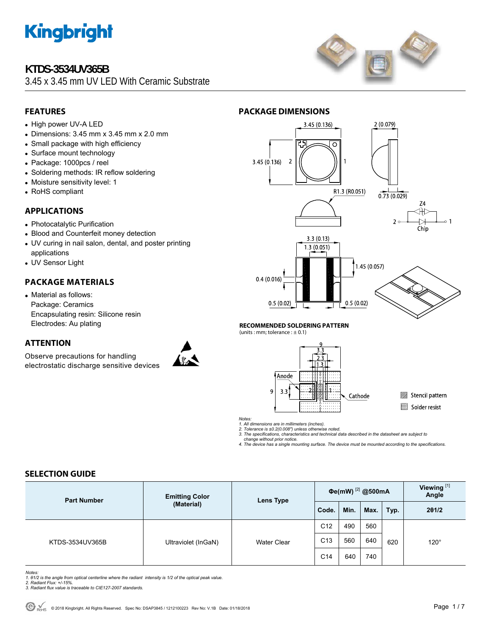

### **KTDS-3534UV365B**

3.45 x 3.45 mm UV LED With Ceramic Substrate



#### **FEATURES**

- High power UV-A LED
- $\bullet$  Dimensions: 3.45 mm x 3.45 mm x 2.0 mm
- Small package with high efficiency
- Surface mount technology
- Package: 1000pcs / reel
- Soldering methods: IR reflow soldering
- Moisture sensitivity level: 1
- RoHS compliant

#### **APPLICATIONS**

- Photocatalytic Purification
- Blood and Counterfeit money detection
- UV curing in nail salon, dental, and poster printing applications
- UV Sensor Light

#### **PACKAGE MATERIALS**

• Material as follows: Package: Ceramics Encapsulating resin: Silicone resin Electrodes: Au plating

### **ATTENTION**

Observe precautions for handling electrostatic discharge sensitive devices





**RECOMMENDED SOLDERING PATTERN** 

(units : mm; tolerance :  $\pm$  0.1)



Stencil pattern Solder resist

*Notes:* 

*1. All dimensions are in millimeters (inches). 2. Tolerance is ±0.2(0.008") unless otherwise noted.* 

*3. The specifications, characteristics and technical data described in the datasheet are subject to change without prior notice.* 

*4. The device has a single mounting surface. The device must be mounted according to the specifications.* 

#### **SELECTION GUIDE**

| <b>Part Number</b> | <b>Emitting Color</b><br>(Material) | Lens Type          | Фе(mW) <sup>[2]</sup> @500mA |      |      | Viewing <sup>[1]</sup><br>Angle |             |
|--------------------|-------------------------------------|--------------------|------------------------------|------|------|---------------------------------|-------------|
|                    |                                     |                    | Code.                        | Min. | Max. | Typ.                            | 201/2       |
| KTDS-3534UV365B    | Ultraviolet (InGaN)                 | <b>Water Clear</b> | C <sub>12</sub>              | 490  | 560  | 620                             | $120^\circ$ |
|                    |                                     |                    | C <sub>13</sub>              | 560  | 640  |                                 |             |
|                    |                                     |                    | C <sub>14</sub>              | 640  | 740  |                                 |             |

*Notes:* 

- *1. θ1/2 is the angle from optical centerline where the radiant intensity is 1/2 of the optical peak value. 2. Radiant Flux: +/-15%.*
- *3. Radiant flux value is traceable to CIE127-2007 standards.*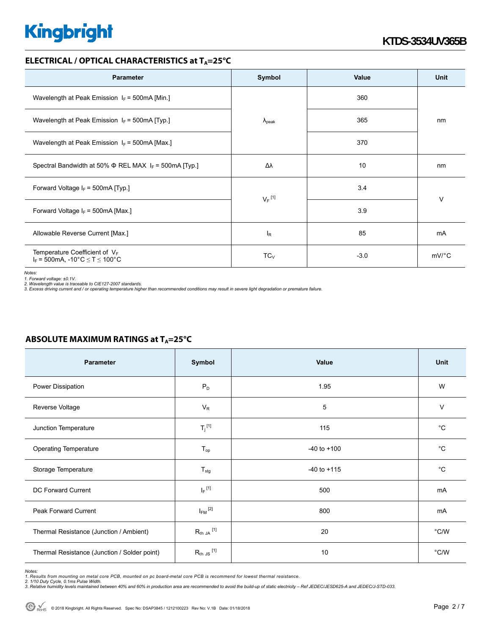#### **ELECTRICAL / OPTICAL CHARACTERISTICS at T<sub>A</sub>=25°C**

| <b>Parameter</b>                                                             | Symbol               | Value  | Unit    |  |
|------------------------------------------------------------------------------|----------------------|--------|---------|--|
| Wavelength at Peak Emission $I_F$ = 500mA [Min.]                             |                      | 360    |         |  |
| Wavelength at Peak Emission $I_F$ = 500mA [Typ.]                             | $\lambda_{\rm peak}$ | 365    | nm      |  |
| Wavelength at Peak Emission $I_F$ = 500mA [Max ]                             |                      | 370    |         |  |
| Spectral Bandwidth at 50% $\Phi$ REL MAX $I_F$ = 500mA [Typ.]                | Δλ                   | 10     | nm      |  |
| Forward Voltage $I_F$ = 500mA [Typ.]                                         | $V_F$ <sup>[1]</sup> | 3.4    | V       |  |
| Forward Voltage $I_F$ = 500mA [Max.]                                         |                      | 3.9    |         |  |
| Allowable Reverse Current [Max.]                                             | $I_R$                | 85     | mA      |  |
| Temperature Coefficient of $V_F$<br>$I_F = 500$ mA, -10°C $\le T \le 100$ °C | $TC_V$               | $-3.0$ | $mV$ °C |  |

*Notes:* 

1. Forward voltage: ±0.1V.<br>2. Wavelength value is traceable to CIE127-2007 standards.<br>3. Excess driving current and / or operating temperature higher than recommended conditions may result in severe light degradation or pr

| Parameter                                    | Symbol                  | Value           | Unit          |
|----------------------------------------------|-------------------------|-----------------|---------------|
| Power Dissipation                            | $P_D$                   | 1.95            | W             |
| Reverse Voltage                              | $V_{R}$                 | 5               | $\vee$        |
| Junction Temperature                         | $T_j$ <sup>[1]</sup>    | 115             | $^{\circ}C$   |
| <b>Operating Temperature</b>                 | $T_{op}$                | $-40$ to $+100$ | $^{\circ}C$   |
| Storage Temperature                          | $T_{\text{stg}}$        | $-40$ to $+115$ | $^{\circ}C$   |
| DC Forward Current                           | $I_F$ <sup>[1]</sup>    | 500             | mA            |
| Peak Forward Current                         | $I_{FM}$ <sup>[2]</sup> | 800             | mA            |
| Thermal Resistance (Junction / Ambient)      | $R_{th}$ JA $^{[1]}$    | 20              | $\degree$ C/W |
| Thermal Resistance (Junction / Solder point) | $R_{th}$ JS $^{[1]}$    | 10              | °C/W          |

#### **ABSOLUTE MAXIMUM RATINGS at T<sub>A</sub>=25°C**

*Notes:* 

1. Results from mounting on metal core PCB, mounted on pc board-metal core PCB is recommend for lowest thermal resistance.<br>2. 1/10 Duty Cycle, 0.1ms Pulse Width.<br>3. Relative humidity levels maintained between 40% and 60% i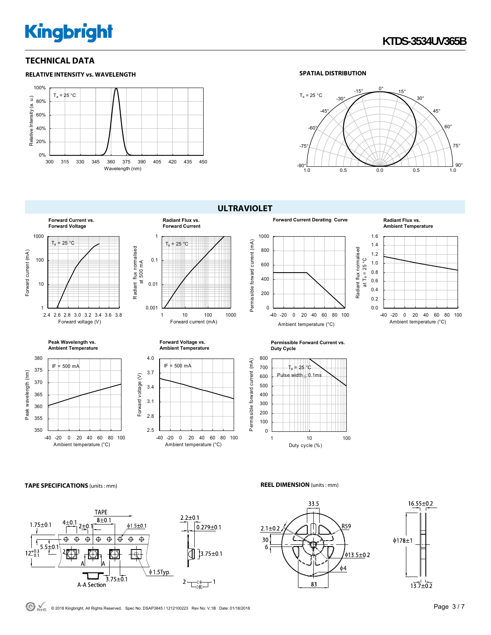#### **TECHNICAL DATA**



#### **SPATIAL DISTRIBUTION**



**ULTRAVIOLET** 



#### **TAPE SPECIFICATIONS** (units : mm) **REEL DIMENSION** (units : mm)







 $\bigodot$ <sub>RoHS</sub> © 2018 Kingbright. All Rights Reserved. Spec No: DSAP3845 / 1212100223 Rev No: V.1B Date: 01/18/2018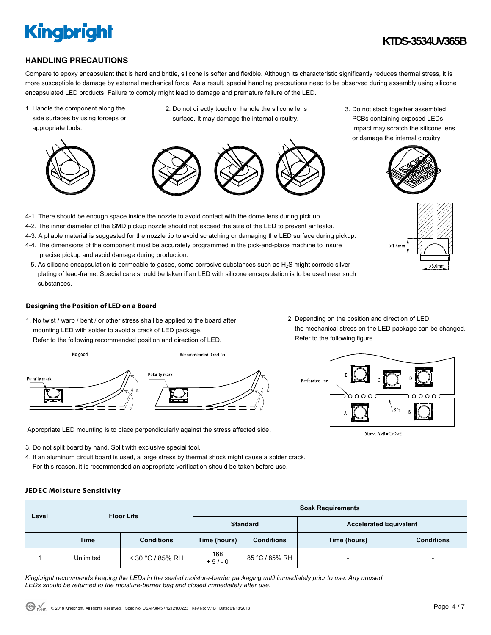#### **HANDLING PRECAUTIONS**

Compare to epoxy encapsulant that is hard and brittle, silicone is softer and flexible. Although its characteristic significantly reduces thermal stress, it is more susceptible to damage by external mechanical force. As a result, special handling precautions need to be observed during assembly using silicone encapsulated LED products. Failure to comply might lead to damage and premature failure of the LED.

1. Handle the component along the side surfaces by using forceps or appropriate tools.



substances.



4-1. There should be enough space inside the nozzle to avoid contact with the dome lens during pick up. 4-2. The inner diameter of the SMD pickup nozzle should not exceed the size of the LED to prevent air leaks. 4-3. A pliable material is suggested for the nozzle tip to avoid scratching or damaging the LED surface during pickup. 4-4. The dimensions of the component must be accurately programmed in the pick-and-place machine to insure

5. As silicone encapsulation is permeable to gases, some corrosive substances such as  $H_2S$  might corrode silver plating of lead-frame. Special care should be taken if an LED with silicone encapsulation is to be used near such

2. Do not directly touch or handle the silicone lens surface. It may damage the internal circuitry.



3. Do not stack together assembled PCBs containing exposed LEDs. Impact may scratch the silicone lens or damage the internal circuitry.





**Designing the Position of LED on a Board** 

precise pickup and avoid damage during production.

1. No twist / warp / bent / or other stress shall be applied to the board after mounting LED with solder to avoid a crack of LED package. Refer to the following recommended position and direction of LED.



2. Depending on the position and direction of LED, the mechanical stress on the LED package can be changed. Refer to the following figure.



Stress: A>B=C>D>E

Appropriate LED mounting is to place perpendicularly against the stress affected side.

- 3. Do not split board by hand. Split with exclusive special tool.
- 4. If an aluminum circuit board is used, a large stress by thermal shock might cause a solder crack. For this reason, it is recommended an appropriate verification should be taken before use.

#### **JEDEC Moisture Sensitivity**

| Level | <b>Floor Life</b> |                       | <b>Soak Requirements</b> |                   |                               |                   |  |
|-------|-------------------|-----------------------|--------------------------|-------------------|-------------------------------|-------------------|--|
|       |                   |                       | <b>Standard</b>          |                   | <b>Accelerated Equivalent</b> |                   |  |
|       | <b>Time</b>       | <b>Conditions</b>     | Time (hours)             | <b>Conditions</b> | Time (hours)                  | <b>Conditions</b> |  |
|       | Unlimited         | $\leq$ 30 °C / 85% RH | 168<br>$+5/-0$           | 85 °C / 85% RH    | $\overline{\phantom{0}}$      |                   |  |

*Kingbright recommends keeping the LEDs in the sealed moisture-barrier packaging until immediately prior to use. Any unused LEDs should be returned to the moisture-barrier bag and closed immediately after use.*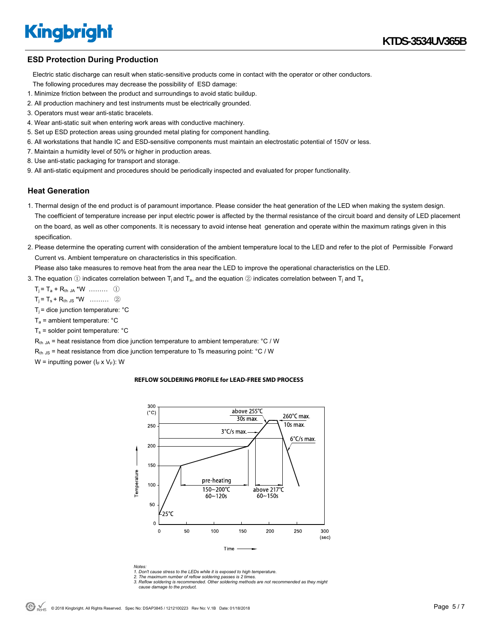#### **ESD Protection During Production**

 Electric static discharge can result when static-sensitive products come in contact with the operator or other conductors. The following procedures may decrease the possibility of ESD damage:

- 1. Minimize friction between the product and surroundings to avoid static buildup.
- 2. All production machinery and test instruments must be electrically grounded.
- 3. Operators must wear anti-static bracelets.
- 4. Wear anti-static suit when entering work areas with conductive machinery.
- 5. Set up ESD protection areas using grounded metal plating for component handling.
- 6. All workstations that handle IC and ESD-sensitive components must maintain an electrostatic potential of 150V or less.
- 7. Maintain a humidity level of 50% or higher in production areas.
- 8. Use anti-static packaging for transport and storage.
- 9. All anti-static equipment and procedures should be periodically inspected and evaluated for proper functionality.

#### **Heat Generation**

- 1. Thermal design of the end product is of paramount importance. Please consider the heat generation of the LED when making the system design. The coefficient of temperature increase per input electric power is affected by the thermal resistance of the circuit board and density of LED placement on the board, as well as other components. It is necessary to avoid intense heat generation and operate within the maximum ratings given in this specification.
- 2. Please determine the operating current with consideration of the ambient temperature local to the LED and refer to the plot of Permissible Forward Current vs. Ambient temperature on characteristics in this specification.

Please also take measures to remove heat from the area near the LED to improve the operational characteristics on the LED.

3. The equation  $\oplus$  indicates correlation between T<sub>i</sub> and T<sub>a</sub>, and the equation  $\otimes$  indicates correlation between T<sub>i</sub> and T<sub>s</sub>

 $T_i = T_a + R_{th, JA} * W$  ……… ①

 $T_i = T_s + R_{th, JS} * W$  ……… ②

 $T_i$  = dice junction temperature:  $°C$ 

 $T_a$  = ambient temperature:  $°C$ 

 $T_s$  = solder point temperature:  $°C$ 

 $R_{th,JA}$  = heat resistance from dice junction temperature to ambient temperature:  $°C / W$ 

 $R<sub>th JS</sub>$  = heat resistance from dice junction temperature to Ts measuring point: °C / W

W = inputting power  $(I_F \times V_F)$ : W

#### **REFLOW SOLDERING PROFILE for LEAD-FREE SMD PROCESS**



*Notes: 1. Don't cause stress to the LEDs while it is exposed to high temperature. 2. The maximum number of reflow soldering passes is 2 times.* 

*3. Reflow soldering is recommended. Other soldering methods are not recommended as they might* 

 *cause damage to the product.*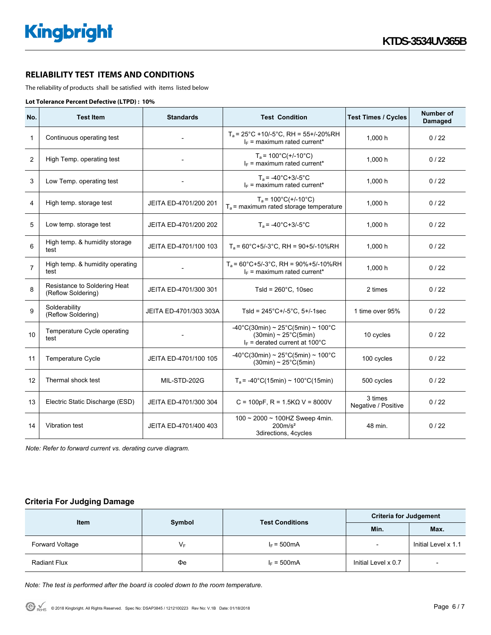### **RELIABILITY TEST ITEMS AND CONDITIONS**

The reliability of products shall be satisfied with items listed below

#### **Lot Tolerance Percent Defective (LTPD) : 10%**

| No.            | <b>Test Item</b>                                   | <b>Standards</b>       | <b>Test Condition</b>                                                                                                                     | <b>Test Times / Cycles</b>     | <b>Number of</b><br><b>Damaged</b> |
|----------------|----------------------------------------------------|------------------------|-------------------------------------------------------------------------------------------------------------------------------------------|--------------------------------|------------------------------------|
| $\mathbf{1}$   | Continuous operating test                          |                        | $T_a$ = 25°C +10/-5°C, RH = 55+/-20%RH<br>$I_F$ = maximum rated current*                                                                  | 1,000h                         | 0/22                               |
| 2              | High Temp. operating test                          |                        | $T_a = 100^{\circ}C(+/-10^{\circ}C)$<br>$I_F$ = maximum rated current*                                                                    | 1,000 h                        | 0/22                               |
| 3              | Low Temp. operating test                           |                        | $T_a = -40^{\circ}C + 3/-5^{\circ}C$<br>$I_F$ = maximum rated current*                                                                    | 1.000h                         | 0/22                               |
| 4              | High temp. storage test                            | JEITA ED-4701/200 201  | $T_a = 100^{\circ}C(+/-10^{\circ}C)$<br>$T_a$ = maximum rated storage temperature                                                         | 1,000 h                        | 0/22                               |
| 5              | Low temp. storage test                             | JEITA ED-4701/200 202  | $T_a = -40^{\circ}C + 3/-5^{\circ}C$                                                                                                      | 1,000 h                        | 0/22                               |
| 6              | High temp. & humidity storage<br>test              | JEITA ED-4701/100 103  | $T_a$ = 60°C+5/-3°C, RH = 90+5/-10%RH                                                                                                     | 1,000 h                        | 0/22                               |
| $\overline{7}$ | High temp. & humidity operating<br>test            |                        | $T_a$ = 60°C+5/-3°C, RH = 90%+5/-10%RH<br>$I_F$ = maximum rated current*                                                                  | 1.000h                         | 0/22                               |
| 8              | Resistance to Soldering Heat<br>(Reflow Soldering) | JEITA ED-4701/300 301  | Tsld = $260^{\circ}$ C, 10sec                                                                                                             | 2 times                        | 0/22                               |
| 9              | Solderability<br>(Reflow Soldering)                | JEITA ED-4701/303 303A | Tsld = $245^{\circ}$ C+/-5 $^{\circ}$ C, 5+/-1sec                                                                                         | 1 time over 95%                | 0/22                               |
| 10             | Temperature Cycle operating<br>test                |                        | $-40^{\circ}$ C(30min) ~ 25 $^{\circ}$ C(5min) ~ 100 $^{\circ}$ C<br>$(30min) \sim 25^{\circ}C(5min)$<br>$I_F$ = derated current at 100°C | 10 cycles                      | 0/22                               |
| 11             | <b>Temperature Cycle</b>                           | JEITA ED-4701/100 105  | $-40^{\circ}$ C(30min) ~ 25 $^{\circ}$ C(5min) ~ 100 $^{\circ}$ C<br>$(30min) \sim 25^{\circ}C(5min)$                                     | 100 cycles                     | 0/22                               |
| 12             | Thermal shock test                                 | MIL-STD-202G           | $T_a$ = -40°C(15min) ~ 100°C(15min)                                                                                                       | 500 cycles                     | 0/22                               |
| 13             | Electric Static Discharge (ESD)                    | JEITA ED-4701/300 304  | $C = 100pF$ , R = 1.5K $\Omega$ V = 8000V                                                                                                 | 3 times<br>Negative / Positive | 0/22                               |
| 14             | Vibration test                                     | JEITA ED-4701/400 403  | 100 ~ 2000 ~ 100HZ Sweep 4min.<br>200m/s <sup>2</sup><br>48 min.<br>3directions, 4cycles                                                  |                                | 0/22                               |

*Note: Refer to forward current vs. derating curve diagram.* 

#### **Criteria For Judging Damage**

| <b>Item</b>         | Symbol | <b>Test Conditions</b> | <b>Criteria for Judgement</b> |                     |  |
|---------------------|--------|------------------------|-------------------------------|---------------------|--|
|                     |        |                        | Min.                          | Max.                |  |
| Forward Voltage     | V⊧     | $I_F = 500mA$          |                               | Initial Level x 1.1 |  |
| <b>Radiant Flux</b> | Фe     | $I_F = 500mA$          | Initial Level x 0.7           |                     |  |

*Note: The test is performed after the board is cooled down to the room temperature.*